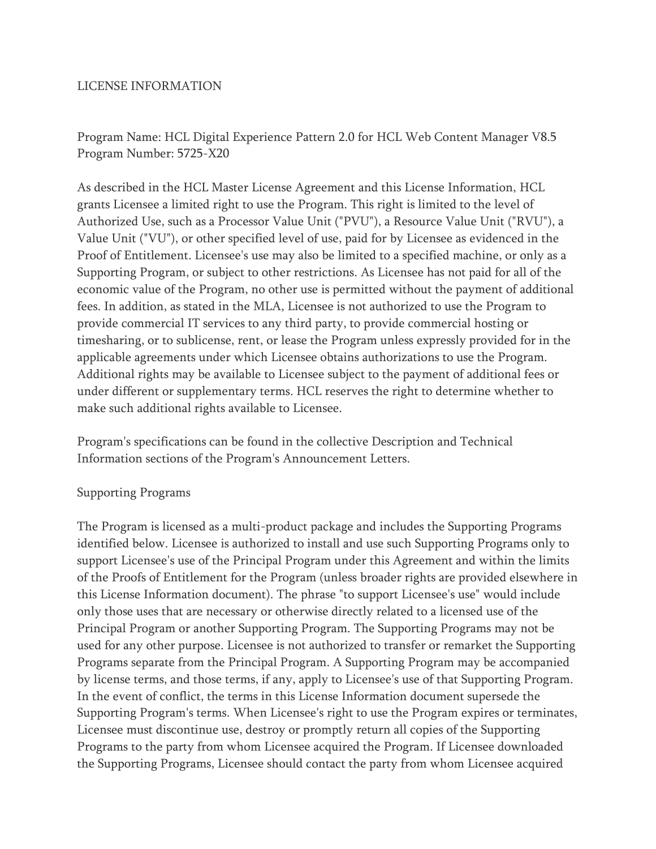## LICENSE INFORMATION

Program Name: HCL Digital Experience Pattern 2.0 for HCL Web Content Manager V8.5 Program Number: 5725-X20

As described in the HCL Master License Agreement and this License Information, HCL grants Licensee a limited right to use the Program. This right is limited to the level of Authorized Use, such as a Processor Value Unit ("PVU"), a Resource Value Unit ("RVU"), a Value Unit ("VU"), or other specified level of use, paid for by Licensee as evidenced in the Proof of Entitlement. Licensee's use may also be limited to a specified machine, or only as a Supporting Program, or subject to other restrictions. As Licensee has not paid for all of the economic value of the Program, no other use is permitted without the payment of additional fees. In addition, as stated in the MLA, Licensee is not authorized to use the Program to provide commercial IT services to any third party, to provide commercial hosting or timesharing, or to sublicense, rent, or lease the Program unless expressly provided for in the applicable agreements under which Licensee obtains authorizations to use the Program. Additional rights may be available to Licensee subject to the payment of additional fees or under different or supplementary terms. HCL reserves the right to determine whether to make such additional rights available to Licensee.

Program's specifications can be found in the collective Description and Technical Information sections of the Program's Announcement Letters.

## Supporting Programs

The Program is licensed as a multi-product package and includes the Supporting Programs identified below. Licensee is authorized to install and use such Supporting Programs only to support Licensee's use of the Principal Program under this Agreement and within the limits of the Proofs of Entitlement for the Program (unless broader rights are provided elsewhere in this License Information document). The phrase "to support Licensee's use" would include only those uses that are necessary or otherwise directly related to a licensed use of the Principal Program or another Supporting Program. The Supporting Programs may not be used for any other purpose. Licensee is not authorized to transfer or remarket the Supporting Programs separate from the Principal Program. A Supporting Program may be accompanied by license terms, and those terms, if any, apply to Licensee's use of that Supporting Program. In the event of conflict, the terms in this License Information document supersede the Supporting Program's terms. When Licensee's right to use the Program expires or terminates, Licensee must discontinue use, destroy or promptly return all copies of the Supporting Programs to the party from whom Licensee acquired the Program. If Licensee downloaded the Supporting Programs, Licensee should contact the party from whom Licensee acquired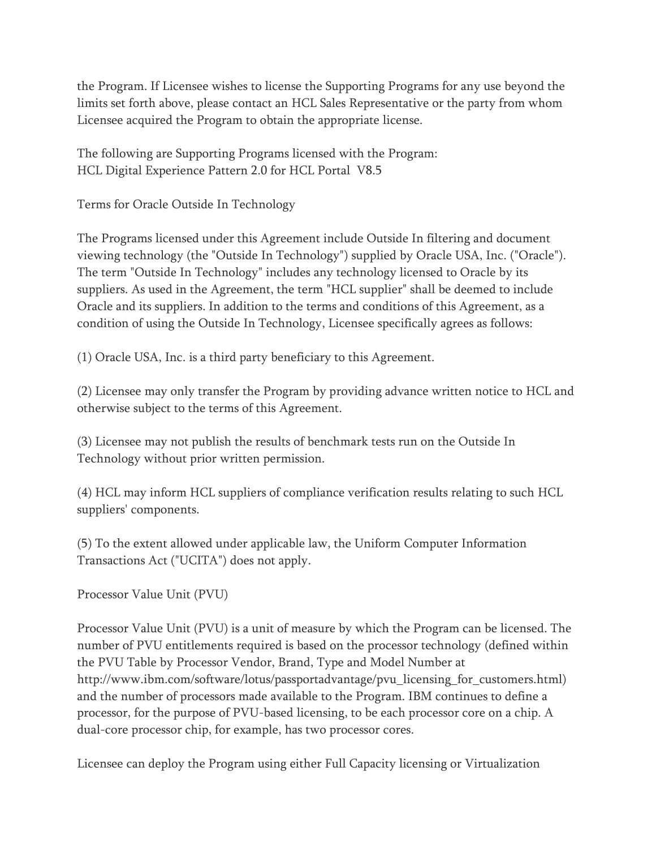the Program. If Licensee wishes to license the Supporting Programs for any use beyond the limits set forth above, please contact an HCL Sales Representative or the party from whom Licensee acquired the Program to obtain the appropriate license.

The following are Supporting Programs licensed with the Program: HCL Digital Experience Pattern 2.0 for HCL Portal V8.5

Terms for Oracle Outside In Technology

The Programs licensed under this Agreement include Outside In filtering and document viewing technology (the "Outside In Technology") supplied by Oracle USA, Inc. ("Oracle"). The term "Outside In Technology" includes any technology licensed to Oracle by its suppliers. As used in the Agreement, the term "HCL supplier" shall be deemed to include Oracle and its suppliers. In addition to the terms and conditions of this Agreement, as a condition of using the Outside In Technology, Licensee specifically agrees as follows:

(1) Oracle USA, Inc. is a third party beneficiary to this Agreement.

(2) Licensee may only transfer the Program by providing advance written notice to HCL and otherwise subject to the terms of this Agreement.

(3) Licensee may not publish the results of benchmark tests run on the Outside In Technology without prior written permission.

(4) HCL may inform HCL suppliers of compliance verification results relating to such HCL suppliers' components.

(5) To the extent allowed under applicable law, the Uniform Computer Information Transactions Act ("UCITA") does not apply.

Processor Value Unit (PVU)

Processor Value Unit (PVU) is a unit of measure by which the Program can be licensed. The number of PVU entitlements required is based on the processor technology (defined within the PVU Table by Processor Vendor, Brand, Type and Model Number at http://www.ibm.com/software/lotus/passportadvantage/pvu\_licensing\_for\_customers.html) and the number of processors made available to the Program. IBM continues to define a processor, for the purpose of PVU-based licensing, to be each processor core on a chip. A dual-core processor chip, for example, has two processor cores.

Licensee can deploy the Program using either Full Capacity licensing or Virtualization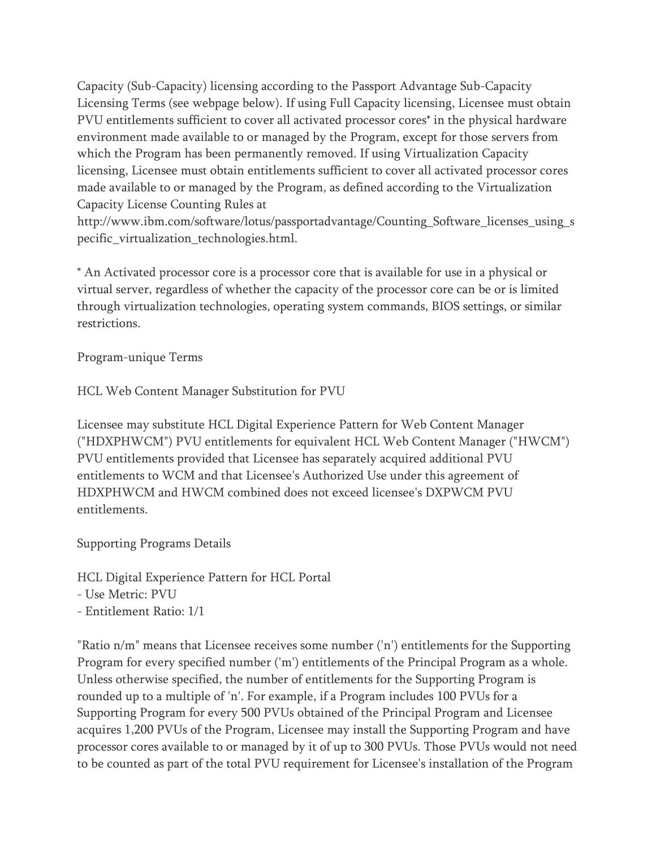Capacity (Sub-Capacity) licensing according to the Passport Advantage Sub-Capacity Licensing Terms (see webpage below). If using Full Capacity licensing, Licensee must obtain PVU entitlements sufficient to cover all activated processor cores\* in the physical hardware environment made available to or managed by the Program, except for those servers from which the Program has been permanently removed. If using Virtualization Capacity licensing, Licensee must obtain entitlements sufficient to cover all activated processor cores made available to or managed by the Program, as defined according to the Virtualization Capacity License Counting Rules at

http://www.ibm.com/software/lotus/passportadvantage/Counting\_Software\_licenses\_using\_s pecific\_virtualization\_technologies.html.

\* An Activated processor core is a processor core that is available for use in a physical or virtual server, regardless of whether the capacity of the processor core can be or is limited through virtualization technologies, operating system commands, BIOS settings, or similar restrictions.

Program-unique Terms

HCL Web Content Manager Substitution for PVU

Licensee may substitute HCL Digital Experience Pattern for Web Content Manager ("HDXPHWCM") PVU entitlements for equivalent HCL Web Content Manager ("HWCM") PVU entitlements provided that Licensee has separately acquired additional PVU entitlements to WCM and that Licensee's Authorized Use under this agreement of HDXPHWCM and HWCM combined does not exceed licensee's DXPWCM PVU entitlements.

Supporting Programs Details

HCL Digital Experience Pattern for HCL Portal

- Use Metric: PVU

- Entitlement Ratio: 1/1

"Ratio n/m" means that Licensee receives some number ('n') entitlements for the Supporting Program for every specified number ('m') entitlements of the Principal Program as a whole. Unless otherwise specified, the number of entitlements for the Supporting Program is rounded up to a multiple of 'n'. For example, if a Program includes 100 PVUs for a Supporting Program for every 500 PVUs obtained of the Principal Program and Licensee acquires 1,200 PVUs of the Program, Licensee may install the Supporting Program and have processor cores available to or managed by it of up to 300 PVUs. Those PVUs would not need to be counted as part of the total PVU requirement for Licensee's installation of the Program